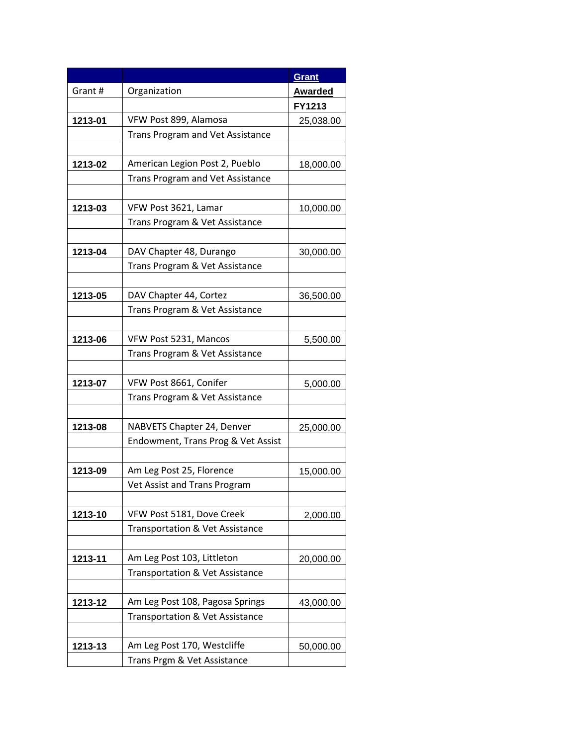|         |                                    | Grant          |
|---------|------------------------------------|----------------|
| Grant#  | Organization                       | <b>Awarded</b> |
|         |                                    | FY1213         |
| 1213-01 | VFW Post 899, Alamosa              | 25,038.00      |
|         | Trans Program and Vet Assistance   |                |
|         |                                    |                |
| 1213-02 | American Legion Post 2, Pueblo     | 18,000.00      |
|         | Trans Program and Vet Assistance   |                |
|         |                                    |                |
| 1213-03 | VFW Post 3621, Lamar               | 10,000.00      |
|         | Trans Program & Vet Assistance     |                |
|         |                                    |                |
| 1213-04 | DAV Chapter 48, Durango            | 30,000.00      |
|         | Trans Program & Vet Assistance     |                |
|         |                                    |                |
| 1213-05 | DAV Chapter 44, Cortez             | 36,500.00      |
|         | Trans Program & Vet Assistance     |                |
|         |                                    |                |
| 1213-06 | VFW Post 5231, Mancos              | 5,500.00       |
|         | Trans Program & Vet Assistance     |                |
|         |                                    |                |
| 1213-07 | VFW Post 8661, Conifer             | 5,000.00       |
|         | Trans Program & Vet Assistance     |                |
|         |                                    |                |
| 1213-08 | NABVETS Chapter 24, Denver         | 25,000.00      |
|         | Endowment, Trans Prog & Vet Assist |                |
|         |                                    |                |
| 1213-09 | Am Leg Post 25, Florence           | 15,000.00      |
|         | Vet Assist and Trans Program       |                |
|         |                                    |                |
| 1213-10 | VFW Post 5181, Dove Creek          | 2,000.00       |
|         | Transportation & Vet Assistance    |                |
|         |                                    |                |
| 1213-11 | Am Leg Post 103, Littleton         | 20,000.00      |
|         | Transportation & Vet Assistance    |                |
|         |                                    |                |
| 1213-12 | Am Leg Post 108, Pagosa Springs    | 43,000.00      |
|         | Transportation & Vet Assistance    |                |
|         |                                    |                |
| 1213-13 | Am Leg Post 170, Westcliffe        | 50,000.00      |
|         | Trans Prgm & Vet Assistance        |                |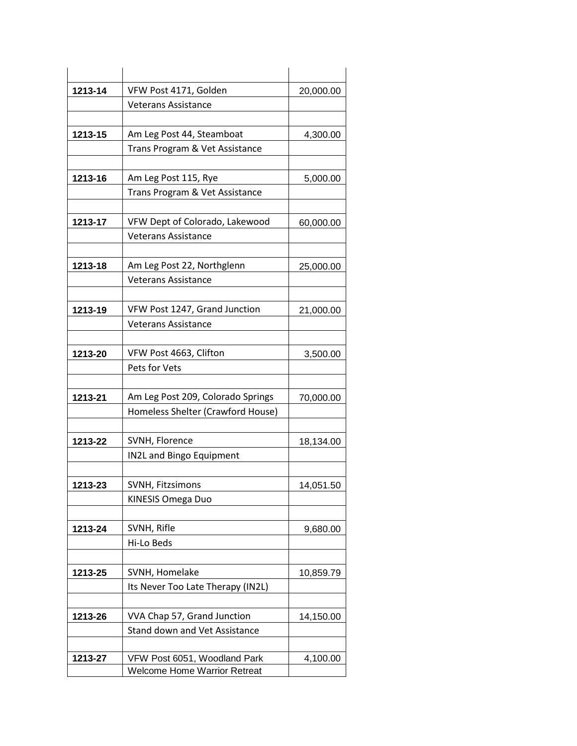| 1213-14 | VFW Post 4171, Golden               | 20,000.00 |
|---------|-------------------------------------|-----------|
|         | <b>Veterans Assistance</b>          |           |
|         |                                     |           |
| 1213-15 | Am Leg Post 44, Steamboat           | 4,300.00  |
|         | Trans Program & Vet Assistance      |           |
|         |                                     |           |
| 1213-16 | Am Leg Post 115, Rye                | 5,000.00  |
|         | Trans Program & Vet Assistance      |           |
|         | VFW Dept of Colorado, Lakewood      |           |
| 1213-17 | <b>Veterans Assistance</b>          | 60,000.00 |
|         |                                     |           |
| 1213-18 | Am Leg Post 22, Northglenn          | 25,000.00 |
|         | <b>Veterans Assistance</b>          |           |
|         |                                     |           |
| 1213-19 | VFW Post 1247, Grand Junction       | 21,000.00 |
|         | <b>Veterans Assistance</b>          |           |
|         |                                     |           |
| 1213-20 | VFW Post 4663, Clifton              | 3,500.00  |
|         | Pets for Vets                       |           |
|         |                                     |           |
| 1213-21 | Am Leg Post 209, Colorado Springs   | 70,000.00 |
|         | Homeless Shelter (Crawford House)   |           |
| 1213-22 | SVNH, Florence                      | 18,134.00 |
|         | <b>IN2L and Bingo Equipment</b>     |           |
|         |                                     |           |
| 1213-23 | SVNH, Fitzsimons                    | 14,051.50 |
|         | <b>KINESIS Omega Duo</b>            |           |
|         |                                     |           |
| 1213-24 | SVNH, Rifle                         | 9,680.00  |
|         | Hi-Lo Beds                          |           |
|         |                                     |           |
| 1213-25 | SVNH, Homelake                      | 10,859.79 |
|         | Its Never Too Late Therapy (IN2L)   |           |
| 1213-26 | VVA Chap 57, Grand Junction         |           |
|         | Stand down and Vet Assistance       | 14,150.00 |
|         |                                     |           |
| 1213-27 | VFW Post 6051, Woodland Park        | 4,100.00  |
|         | <b>Welcome Home Warrior Retreat</b> |           |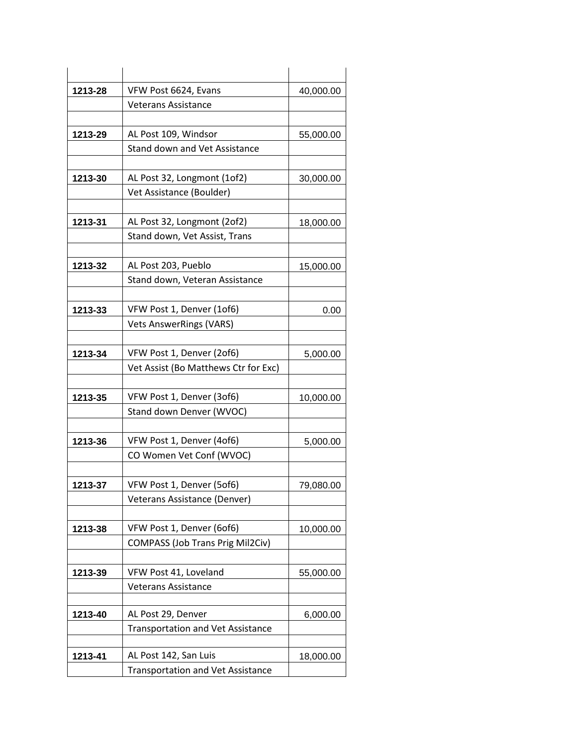| 1213-28 | VFW Post 6624, Evans                     | 40,000.00 |
|---------|------------------------------------------|-----------|
|         | <b>Veterans Assistance</b>               |           |
|         |                                          |           |
| 1213-29 | AL Post 109, Windsor                     | 55,000.00 |
|         | Stand down and Vet Assistance            |           |
|         |                                          |           |
| 1213-30 | AL Post 32, Longmont (1of2)              | 30,000.00 |
|         | Vet Assistance (Boulder)                 |           |
|         |                                          |           |
| 1213-31 | AL Post 32, Longmont (2of2)              | 18,000.00 |
|         | Stand down, Vet Assist, Trans            |           |
|         | AL Post 203, Pueblo                      |           |
| 1213-32 | Stand down, Veteran Assistance           | 15,000.00 |
|         |                                          |           |
| 1213-33 | VFW Post 1, Denver (1of6)                | 0.00      |
|         | <b>Vets AnswerRings (VARS)</b>           |           |
|         |                                          |           |
| 1213-34 | VFW Post 1, Denver (2of6)                | 5,000.00  |
|         | Vet Assist (Bo Matthews Ctr for Exc)     |           |
|         |                                          |           |
| 1213-35 | VFW Post 1, Denver (3of6)                | 10,000.00 |
|         | Stand down Denver (WVOC)                 |           |
|         |                                          |           |
| 1213-36 | VFW Post 1, Denver (4of6)                | 5,000.00  |
|         | CO Women Vet Conf (WVOC)                 |           |
|         |                                          |           |
| 1213-37 | VFW Post 1, Denver (5of6)                | 79,080.00 |
|         | Veterans Assistance (Denver)             |           |
|         | VFW Post 1, Denver (6of6)                |           |
| 1213-38 | <b>COMPASS (Job Trans Prig Mil2Civ)</b>  | 10,000.00 |
|         |                                          |           |
| 1213-39 | VFW Post 41, Loveland                    | 55,000.00 |
|         | <b>Veterans Assistance</b>               |           |
|         |                                          |           |
| 1213-40 | AL Post 29, Denver                       | 6,000.00  |
|         | <b>Transportation and Vet Assistance</b> |           |
|         |                                          |           |
| 1213-41 | AL Post 142, San Luis                    | 18,000.00 |
|         | <b>Transportation and Vet Assistance</b> |           |